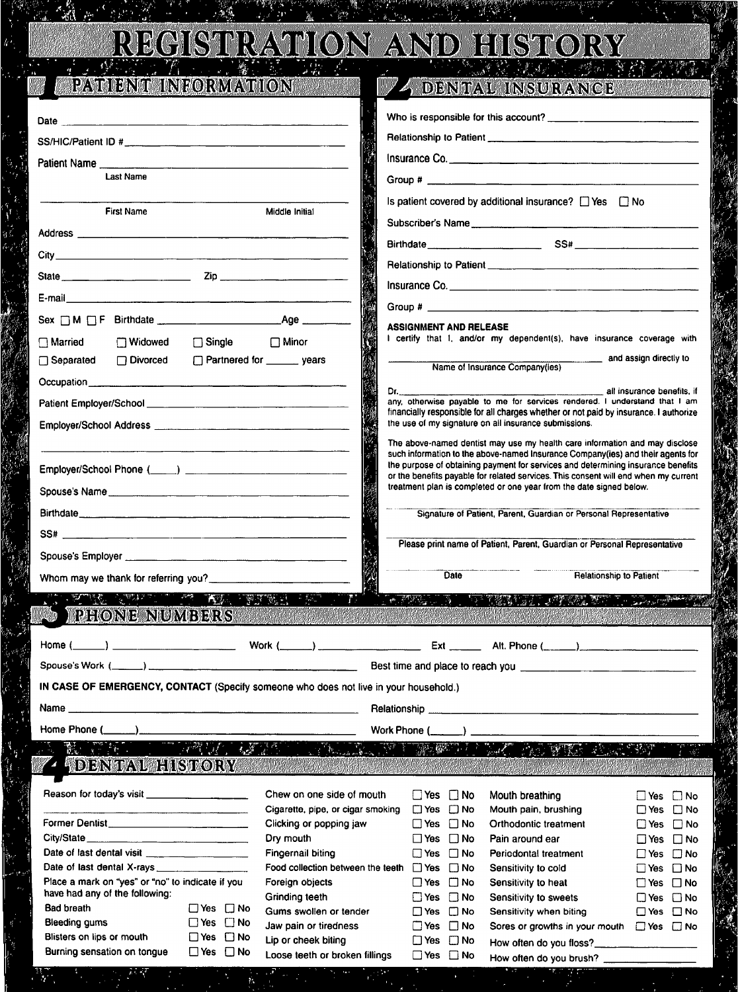#### REGISTRATION AND HISTORY  $\mathcal{L}_{\mathcal{H}}^{(1)}$  $\mathcal{O}$  $\mathcal{F}^{\text{eff}}_{\text{QCD}}$  .  $\mathcal{L}^{\mathcal{L}}$

W

## PATIENT INFORMATION

こんの かんじょう しょうかい しんじゅう しんじゅう かいしょう かいしゅう かいしゅう かいじゅう かいしゅう

2、全社、

 $\mathcal{F}^{\mathcal{F}}$  ,

 $\mathcal{E}_k$ 

## **4 DENTAL INSURANCE**

 $\frac{1}{2}$ 

|                                                                                                                                                                                                                                                                                 |                                      |                                              | Insurance Co.                                                                                                                                                                                                                        |                                              |
|---------------------------------------------------------------------------------------------------------------------------------------------------------------------------------------------------------------------------------------------------------------------------------|--------------------------------------|----------------------------------------------|--------------------------------------------------------------------------------------------------------------------------------------------------------------------------------------------------------------------------------------|----------------------------------------------|
| <b>Last Name</b>                                                                                                                                                                                                                                                                |                                      |                                              |                                                                                                                                                                                                                                      |                                              |
|                                                                                                                                                                                                                                                                                 |                                      |                                              | Is patient covered by additional insurance? □ Yes □ No                                                                                                                                                                               |                                              |
| <b>First Name</b>                                                                                                                                                                                                                                                               | Middle Initial                       |                                              |                                                                                                                                                                                                                                      |                                              |
|                                                                                                                                                                                                                                                                                 |                                      |                                              | Subscriber's Name                                                                                                                                                                                                                    |                                              |
|                                                                                                                                                                                                                                                                                 |                                      |                                              |                                                                                                                                                                                                                                      |                                              |
|                                                                                                                                                                                                                                                                                 |                                      |                                              |                                                                                                                                                                                                                                      |                                              |
|                                                                                                                                                                                                                                                                                 |                                      |                                              |                                                                                                                                                                                                                                      |                                              |
|                                                                                                                                                                                                                                                                                 |                                      |                                              |                                                                                                                                                                                                                                      |                                              |
|                                                                                                                                                                                                                                                                                 |                                      | <b>ASSIGNMENT AND RELEASE</b>                |                                                                                                                                                                                                                                      |                                              |
| $\Box$ Widowed<br>$\Box$ Single<br>$\bigcap$ Married                                                                                                                                                                                                                            | $\Box$ Minor                         |                                              | I certify that I, and/or my dependent(s), have insurance coverage with                                                                                                                                                               |                                              |
| □ Separated<br>□ Divorced                                                                                                                                                                                                                                                       | □ Partnered for <u>______</u> years  |                                              | and assign directly to<br>Name of Insurance Company(ies)                                                                                                                                                                             |                                              |
|                                                                                                                                                                                                                                                                                 |                                      |                                              |                                                                                                                                                                                                                                      |                                              |
|                                                                                                                                                                                                                                                                                 | Dr.                                  |                                              | all insurance benefits, if<br>any, otherwise payable to me for services rendered. I understand that I am                                                                                                                             |                                              |
|                                                                                                                                                                                                                                                                                 |                                      |                                              | financially responsible for all charges whether or not paid by insurance. I authorize<br>the use of my signature on all insurance submissions.                                                                                       |                                              |
|                                                                                                                                                                                                                                                                                 |                                      |                                              | The above-named dentist may use my health care information and may disclose                                                                                                                                                          |                                              |
|                                                                                                                                                                                                                                                                                 |                                      |                                              | such information to the above-named Insurance Company(ies) and their agents for                                                                                                                                                      |                                              |
|                                                                                                                                                                                                                                                                                 |                                      |                                              | the purpose of obtaining payment for services and determining insurance benefits<br>or the benefits payable for related services. This consent will end when my current                                                              |                                              |
| Spouse's Name                                                                                                                                                                                                                                                                   |                                      |                                              | treatment plan is completed or one year from the date signed below.                                                                                                                                                                  |                                              |
|                                                                                                                                                                                                                                                                                 |                                      |                                              | Signature of Patient, Parent, Guardian or Personal Representative                                                                                                                                                                    |                                              |
|                                                                                                                                                                                                                                                                                 |                                      |                                              |                                                                                                                                                                                                                                      |                                              |
|                                                                                                                                                                                                                                                                                 |                                      |                                              | Please print name of Patient, Parent, Guardian or Personal Representative                                                                                                                                                            |                                              |
|                                                                                                                                                                                                                                                                                 |                                      | Date                                         | <b>Relationship to Patient</b>                                                                                                                                                                                                       |                                              |
| Whom may we thank for referring you?                                                                                                                                                                                                                                            |                                      |                                              |                                                                                                                                                                                                                                      |                                              |
| TRONG COMPANY OF THE TRUE ENDI                                                                                                                                                                                                                                                  |                                      |                                              | <u>THE NEW THAT WE THE THE STATE OF THE STATE OF THE STATE OF THE STATE OF THE STATE OF THE STATE OF THE STATE OF THE STATE OF THE STATE OF THE STATE OF THE STATE OF THE STATE OF THE STATE OF THE STATE OF THE STATE OF THE ST</u> |                                              |
| <b>PHONE NUMBERS</b>                                                                                                                                                                                                                                                            |                                      |                                              | <u> 1989 - 1999 - 1999 - 1999 - 1999 - 1999 - 1999 - 1999 - 1999 - 1999 - 1999 - 1999 - 1999 - 1999 - 1999 - 199</u>                                                                                                                 |                                              |
| $Home ( \_ )$                                                                                                                                                                                                                                                                   |                                      |                                              |                                                                                                                                                                                                                                      |                                              |
|                                                                                                                                                                                                                                                                                 |                                      |                                              |                                                                                                                                                                                                                                      |                                              |
| IN CASE OF EMERGENCY, CONTACT (Specify someone who does not live in your household.)                                                                                                                                                                                            |                                      |                                              |                                                                                                                                                                                                                                      |                                              |
|                                                                                                                                                                                                                                                                                 |                                      |                                              |                                                                                                                                                                                                                                      |                                              |
|                                                                                                                                                                                                                                                                                 |                                      |                                              |                                                                                                                                                                                                                                      |                                              |
| Home Phone $(\_\_\_\_\_\_\_\_\$                                                                                                                                                                                                                                                 |                                      | Work Phone $(\_\_\_\_)$                      |                                                                                                                                                                                                                                      |                                              |
| $\mathbb{R}$ , which is a set of $\mathbb{R}$<br>DENTAL HISTORY ALL CONTRACTS AND RESIDENCE AND RELEASED AND RELEASED AND RELEASED AND RELEASED AND RELEASED AND RELEASED AND RELEASED AND RELEASED AND RELEASED AND RELEASED AND RELEASED AND RELEASED AND RELEASED AND RELEAS |                                      |                                              | <u>TALIK IN TRIED I WA AS WIN BASSE</u>                                                                                                                                                                                              |                                              |
|                                                                                                                                                                                                                                                                                 |                                      |                                              |                                                                                                                                                                                                                                      |                                              |
| Reason for today's visit __________________                                                                                                                                                                                                                                     | Chew on one side of mouth            | $\Box$ Yes $\Box$ No                         | Mouth breathing                                                                                                                                                                                                                      | □ Yes □ No                                   |
|                                                                                                                                                                                                                                                                                 | Cigarette, pipe, or cigar smoking    | $\Box$ Yes $\Box$ No                         | Mouth pain, brushing                                                                                                                                                                                                                 | □ Yes □ No                                   |
| Former Dentist                                                                                                                                                                                                                                                                  | Clicking or popping jaw<br>Dry mouth | $\Box$ Yes $\Box$ No<br>$\Box$ Yes $\Box$ No | Orthodontic treatment<br>Pain around ear                                                                                                                                                                                             | □ Yes □ No                                   |
| Date of last dental visit                                                                                                                                                                                                                                                       | Fingernail biting                    | $\Box$ Yes $\Box$ No                         | Periodontal treatment                                                                                                                                                                                                                | $\Box$ Yes $\Box$ No<br>$\Box$ Yes $\Box$ No |
| Date of last dental X-rays __________________                                                                                                                                                                                                                                   | Food collection between the teeth    | $\Box$ Yes $\Box$ No                         | Sensitivity to cold                                                                                                                                                                                                                  | □Yes □No                                     |
| Place a mark on "yes" or "no" to indicate if you                                                                                                                                                                                                                                | Foreign objects                      | $\Box$ Yes $\Box$ No                         | Sensitivity to heat                                                                                                                                                                                                                  | $\Box$ Yes $\Box$ No                         |
| have had any of the following:                                                                                                                                                                                                                                                  | Grinding teeth                       | $\Box$ Yes $\Box$ No                         | Sensitivity to sweets                                                                                                                                                                                                                | $\Box$ Yes $\Box$ No                         |
| <b>Bad breath</b><br>$\square$ Yes $\square$ No                                                                                                                                                                                                                                 | Gums swollen or tender               | □Yes □No                                     | Sensitivity when biting                                                                                                                                                                                                              | $\Box$ Yes $\Box$ No                         |
| $\Box$ Yes $\Box$ No<br><b>Bleeding gums</b>                                                                                                                                                                                                                                    | Jaw pain or tiredness                | $\Box$ Yes $\Box$ No                         | Sores or growths in your mouth $\Box$ Yes $\Box$ No                                                                                                                                                                                  |                                              |
| Blisters on lips or mouth<br>$\Box$ Yes $\Box$ No                                                                                                                                                                                                                               | Lip or cheek biting                  | $\Box$ Yes $\Box$ No                         |                                                                                                                                                                                                                                      |                                              |
| Burning sensation on tongue<br>$\Box$ Yes $\Box$ No                                                                                                                                                                                                                             | Loose teeth or broken fillings       | $\Box$ Yes $\Box$ No                         | How often do you brush?<br><u> a shi ne ta kata a ya ya shekari ya viji</u>                                                                                                                                                          |                                              |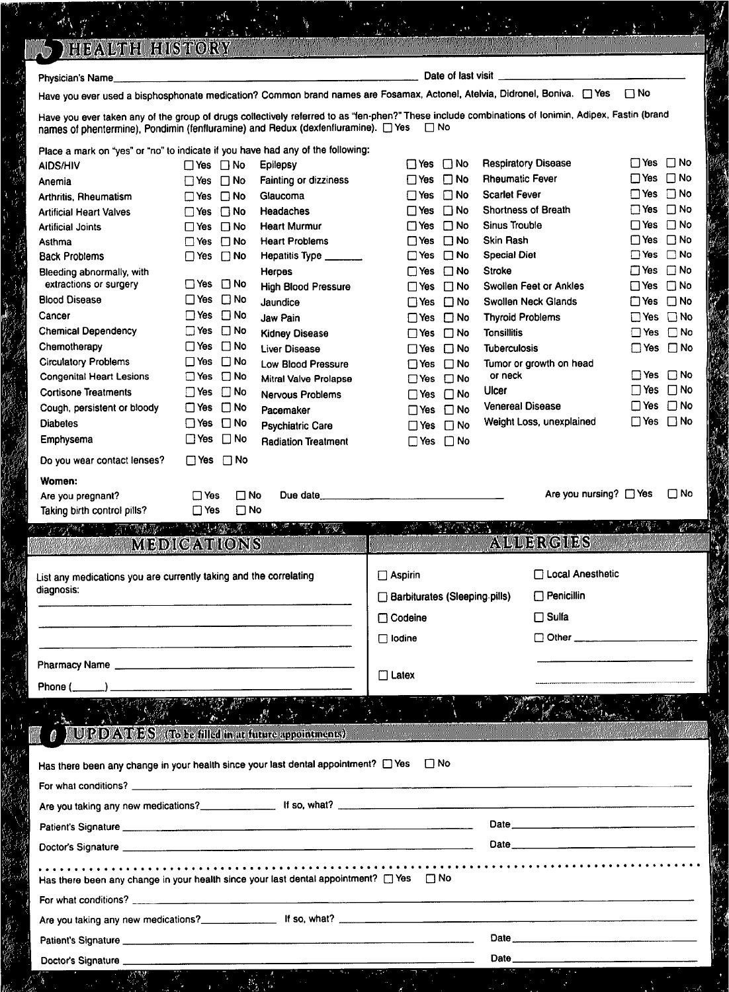| Physician's Name_                                                                         |                                                           |                                                                                                                                                                                                                                                                           | Date of last visit _                           |                                                                                                                                                    |                                  |
|-------------------------------------------------------------------------------------------|-----------------------------------------------------------|---------------------------------------------------------------------------------------------------------------------------------------------------------------------------------------------------------------------------------------------------------------------------|------------------------------------------------|----------------------------------------------------------------------------------------------------------------------------------------------------|----------------------------------|
|                                                                                           |                                                           |                                                                                                                                                                                                                                                                           |                                                | Have you ever used a bisphosphonate medication? Common brand names are Fosamax, Actonel, Atelvia, Didronel, Boniva. [ Yes $\Box$ No                |                                  |
| names of phentermine), Pondimin (fenfluramine) and Redux (dexfenfluramine). □ Yes □ No    |                                                           |                                                                                                                                                                                                                                                                           |                                                | Have you ever taken any of the group of drugs collectively referred to as "fen-phen?" These include combinations of Ionimin, Adipex, Fastin (brand |                                  |
| Place a mark on "yes" or "no" to indicate if you have had any of the following:           |                                                           |                                                                                                                                                                                                                                                                           |                                                |                                                                                                                                                    |                                  |
| AIDS/HIV                                                                                  | $\Box$ Yes $\Box$ No                                      | <b>Epilepsy</b>                                                                                                                                                                                                                                                           | $\Box$ Yes $\Box$ No                           | <b>Respiratory Disease</b>                                                                                                                         | $\Box$ Yes $\Box$ No             |
| Anemia                                                                                    | $\Box$ Yes $\Box$ No                                      | Fainting or dizziness                                                                                                                                                                                                                                                     | $\Box$ No<br>$\Box$ Yes                        | <b>Rheumatic Fever</b>                                                                                                                             | $\Box$ Yes $\Box$ No             |
| Arthritis, Rheumatism                                                                     | $\Box$ Yes $\Box$ No                                      | Glaucoma                                                                                                                                                                                                                                                                  | $\Box$ Yes $\Box$ No                           | <b>Scarlet Fever</b>                                                                                                                               | $\Box$ No<br>∐ Yes               |
| <b>Artificial Heart Valves</b>                                                            | $\Box$ Yes $\Box$ No                                      | Headaches                                                                                                                                                                                                                                                                 | $\Box$ No<br>$\Box$ Yes                        | Shortness of Breath                                                                                                                                | $\Box$ No<br>$\Box$ Yes          |
| <b>Artificial Joints</b>                                                                  | $\Box$ Yes $\Box$ No                                      | <b>Heart Murmur</b>                                                                                                                                                                                                                                                       | $\Box$ Yes<br>$\Box$ No                        | <b>Sinus Trouble</b>                                                                                                                               | $\Box$ Yes $\Box$ No             |
| Asthma                                                                                    | $\Box$ No<br>$\square$ Yes                                | <b>Heart Problems</b>                                                                                                                                                                                                                                                     | $\Box$ No<br>$\Box$ Yes                        | <b>Skin Rash</b>                                                                                                                                   | $\Box$ Yes $\Box$ No             |
| <b>Back Problems</b>                                                                      | $\Box$ No<br>$\Box$ Yes                                   | Hepatitis Type _______                                                                                                                                                                                                                                                    | $\Box$ No<br>$\square$ Yes                     | <b>Special Diet</b><br><b>Stroke</b>                                                                                                               | □Yes □No<br>$\Box$ Yes $\Box$ No |
| Bleeding abnormally, with<br>extractions or surgery                                       | $\Box$ Yes $\Box$ No                                      | Herpes<br><b>High Blood Pressure</b>                                                                                                                                                                                                                                      | □Yes □No<br>$\square$ No                       | Swollen Feet or Ankles                                                                                                                             | $\Box$ Yes $\Box$ No             |
| <b>Blood Disease</b>                                                                      | $\Box$ No<br>$\square$ Yes                                | Jaundice                                                                                                                                                                                                                                                                  | $\square$ Yes<br>$\square$ No<br>$\square$ Yes | Swollen Neck Glands                                                                                                                                | $\Box$ Yes $\Box$ No             |
| Cancer                                                                                    | $\Box$ Yes $\Box$ No                                      | Jaw Pain                                                                                                                                                                                                                                                                  | $\square$ No<br>$\square$ Yes                  | <b>Thyroid Problems</b>                                                                                                                            | $\Box$ Yes $\Box$ No             |
| <b>Chemical Dependency</b>                                                                | $\Box$ Yes $\Box$ No                                      | <b>Kidney Disease</b>                                                                                                                                                                                                                                                     | $\Box Y$ es $\Box$ No                          | <b>Tonsillitis</b>                                                                                                                                 | $\Box$ Yes $\Box$ No             |
| Chemotherapy                                                                              | $\Box$ Yes $\Box$ No                                      | <b>Liver Disease</b>                                                                                                                                                                                                                                                      | $\Box$ Yes $\Box$ No                           | <b>Tuberculosis</b>                                                                                                                                | $\Box$ Yes $\Box$ No             |
| <b>Circulatory Problems</b>                                                               | $\square$ No<br>$\Box$ Yes                                | <b>Low Blood Pressure</b>                                                                                                                                                                                                                                                 | $\Box$ Yes $\Box$ No                           | Tumor or growth on head                                                                                                                            |                                  |
| <b>Congenital Heart Lesions</b>                                                           | $\square$ No<br>$\square$ Yes                             | Mitral Valve Prolapse                                                                                                                                                                                                                                                     | □Yes □No                                       | or neck                                                                                                                                            | $\Box$ Yes $\Box$ No             |
| <b>Cortisone Treatments</b>                                                               | $\Box$ Yes $\Box$ No                                      | <b>Nervous Problems</b>                                                                                                                                                                                                                                                   | $\Box$ No<br>$\Box$ Yes                        | Ulcer                                                                                                                                              | $\Box$ Yes $\Box$ No             |
| Cough, persistent or bloody                                                               | $\Box$ Yes $\Box$ No                                      | Pacemaker                                                                                                                                                                                                                                                                 | □Yes □No                                       | <b>Venereal Disease</b>                                                                                                                            | $\Box$ Yes $\Box$ No             |
| <b>Diabetes</b>                                                                           | $\Box$ Yes $\Box$ No                                      | <b>Psychiatric Care</b>                                                                                                                                                                                                                                                   | $\Box$ Yes $\Box$ No                           | Weight Loss, unexplained                                                                                                                           | $\Box$ Yes $\Box$ No             |
| Emphysema                                                                                 | $\square$ No<br>$\Box$ Yes                                | <b>Radiation Treatment</b>                                                                                                                                                                                                                                                | $\Box$ Yes $\Box$ No                           |                                                                                                                                                    |                                  |
| Do you wear contact lenses?                                                               | $\Box$ Yes $\Box$ No                                      |                                                                                                                                                                                                                                                                           |                                                |                                                                                                                                                    |                                  |
|                                                                                           |                                                           |                                                                                                                                                                                                                                                                           |                                                |                                                                                                                                                    |                                  |
| Women:                                                                                    |                                                           |                                                                                                                                                                                                                                                                           |                                                |                                                                                                                                                    |                                  |
| Are you pregnant?<br>Taking birth control pills?                                          | ⊟ Yes<br>$\square$ No<br>$\square$ Yes<br>$\square$ No    | $\mathbb{E}[\mathbb{E}[\nabla \mathcal{H}] \mathcal{H}_{\mathbb{E}}] \leq \mathbb{E}[\nabla \mathcal{H}_{\mathbb{E}}] \leq \mathbb{E}[\nabla \mathcal{H}_{\mathbb{E}}] \leq \mathbb{E}[\nabla \mathcal{H}_{\mathbb{E}}] \leq \mathbb{E}[\nabla \mathcal{H}_{\mathbb{E}}]$ | 48                                             | Are you nursing? □ Yes                                                                                                                             | $\square$ No                     |
|                                                                                           | <b>MEDICATIONS</b>                                        |                                                                                                                                                                                                                                                                           |                                                | ALLERGIES                                                                                                                                          |                                  |
| List any medications you are currently taking and the correlating                         |                                                           |                                                                                                                                                                                                                                                                           | $\Box$ Aspirin                                 | □ Local Anesthetic                                                                                                                                 |                                  |
| diagnosis:                                                                                |                                                           |                                                                                                                                                                                                                                                                           | Barbiturates (Sleeping pills)                  | $\Box$ Penicillin                                                                                                                                  |                                  |
|                                                                                           | <u> 1980 - John Stein, Amerikaansk politiker († 1908)</u> |                                                                                                                                                                                                                                                                           |                                                |                                                                                                                                                    |                                  |
|                                                                                           |                                                           |                                                                                                                                                                                                                                                                           | $\Box$ Codeine                                 | $\Box$ Sulfa                                                                                                                                       |                                  |
| <u> 1980 - Jan James James Alexandro (f. 1980)</u>                                        |                                                           |                                                                                                                                                                                                                                                                           | $\Box$ Iodine                                  |                                                                                                                                                    |                                  |
| Pharmacy Name                                                                             |                                                           |                                                                                                                                                                                                                                                                           | $\Box$ Latex                                   |                                                                                                                                                    |                                  |
| Phone (______) _______                                                                    |                                                           |                                                                                                                                                                                                                                                                           |                                                |                                                                                                                                                    |                                  |
| <b>A</b> JUPDATES (To be filled in at future appointments)                                |                                                           | アカラー しっぷ アライト                                                                                                                                                                                                                                                             |                                                |                                                                                                                                                    |                                  |
| Has there been any change in your health since your last dental appointment? [] Yes [] No |                                                           |                                                                                                                                                                                                                                                                           |                                                |                                                                                                                                                    |                                  |
|                                                                                           |                                                           |                                                                                                                                                                                                                                                                           |                                                |                                                                                                                                                    |                                  |
|                                                                                           |                                                           |                                                                                                                                                                                                                                                                           |                                                |                                                                                                                                                    |                                  |
|                                                                                           |                                                           |                                                                                                                                                                                                                                                                           |                                                |                                                                                                                                                    |                                  |
|                                                                                           |                                                           |                                                                                                                                                                                                                                                                           |                                                |                                                                                                                                                    |                                  |
|                                                                                           |                                                           |                                                                                                                                                                                                                                                                           |                                                | Date <u>_________________________________</u>                                                                                                      |                                  |
|                                                                                           |                                                           |                                                                                                                                                                                                                                                                           |                                                |                                                                                                                                                    |                                  |
|                                                                                           |                                                           |                                                                                                                                                                                                                                                                           |                                                |                                                                                                                                                    |                                  |
| Has there been any change in your health since your last dental appointment? [] Yes [] No |                                                           |                                                                                                                                                                                                                                                                           |                                                |                                                                                                                                                    |                                  |

Ŗ

j

 $\alpha$  ,

 $\hat{\rho}^{\dagger}$ 

gra diagnosis: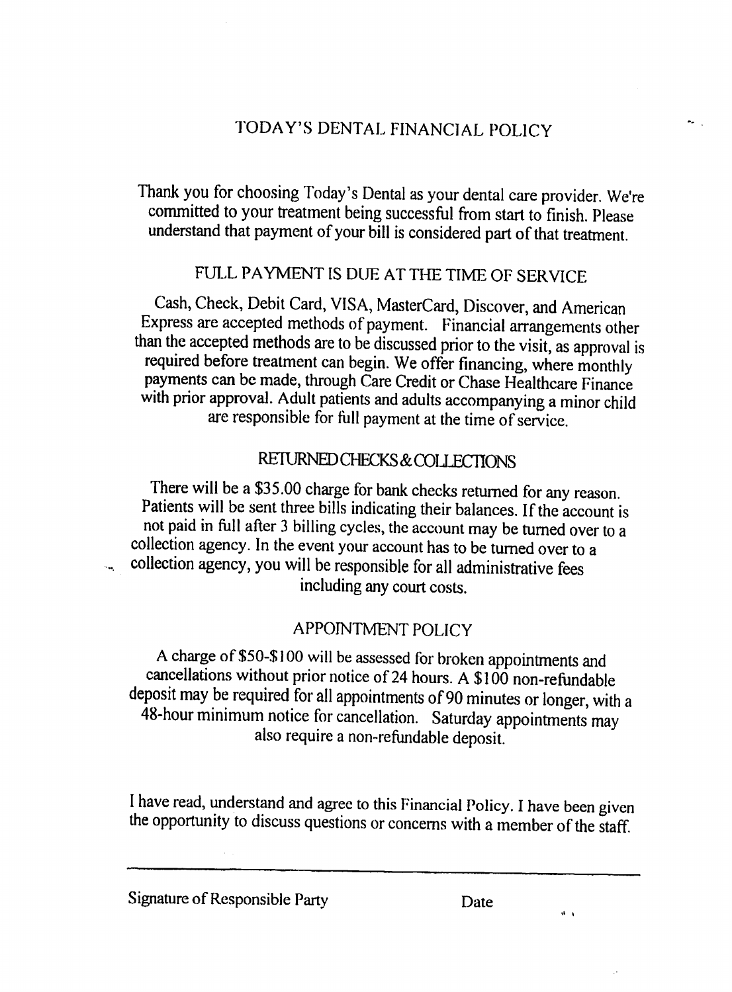### TODAY'S DENTAL FINANCIAL POLICY

 $\mathbf{z}$ 

Thank you for choosing Today's Dental as your dental care provider. We're committed to your treatment being successful from start to finish. Please understand that payment of your bill is considered part of that treatment.

#### FULL PAYMENT IS DUE AT THE TIME OF SERVICE

Cash, Check, Debit Card, VISA, MasterCard, Discover, and American Express are accepted methods of payment. Financial arrangements other than the accepted methods are to be discussed prior to the visit, as approval is required before treatment can begin. We offer financing, where monthly payments can be made, through Care Credit or Chase Healthcare Finance with prior approval. Adult patients and adults accompanying a minor child are responsible for fall payment at the time of service.

#### REIURNED CHECKS & COLLECTIONS

There will be a \$35.00 charge for bank checks returned for any reason. Patients will be sent three bills indicating their balances. If the account is not paid in full after 3 billing cycles, the account may be turned over to collection agency. In the event your account has to be turned over to a collection agency, you will be responsible for all administrative fees including any court costs.

#### APPOINTMENT POLICY

charge of \$50-\$ 100 will be assessed for broken appointments and cancellations without prior notice of 24 hours. A \$100 non-refundable deposit may be required for all appointments of 90 minutes or longer, with a 48-hour minimum notice for cancellation. Saturday appointments may also require a non-refundable deposit.

I have read, understand and agree to this Financial Policy. I have been given the opportunity to discuss questions or concerns with a member of the staff.

 $\hat{\theta}$  .  $\hat{\theta}$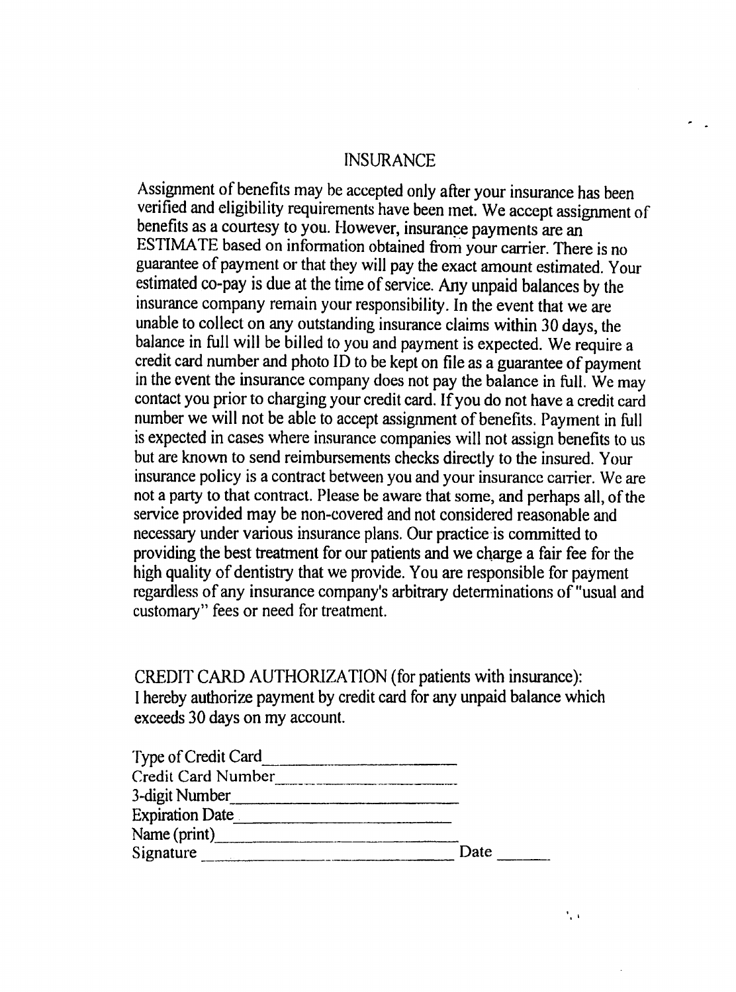#### INSURANCE

Assignment of benefits may be accepted only after your insurance has been verified and eligibility requirements have been met. We accept assignment of benefits as courtesy to you. However, insurance payments are an ESTIMATE based on information obtained from your carrier. There is no guarantee of payment or that they will pay the exact amount estimated. Your estimated co-pay is due at the time of service. Any unpaid balances by the insurance company remain your responsibility. In the event that we are unable to collect on any outstanding insurance claims within 30 days, the balance in full will be billed to you and payment is expected. We require a credit card number and photo ID to be kept on file as guarantee of payment in the event the insurance company does not pay the balance in full. We may contact you prior to charging your credit card. If you do not have a credit card number we will not be able to accept assignment of benefits. Payment in full is expected in cases where insurance companies will not assign benefits to us but are known to send reimbursements checks directly to the insured. Your insurance policy is a contract between you and your insurance carrier. We are not a party to that contract. Please be aware that some, and perhaps all, of the service provided may be non-covered and not considered reasonable and necessary under various insurance plans. Our practice is committed to providing the best treatment for our patients and we charge a fair fee for the high quality of dentistry that we provide. You are responsible for payment regardless of any insurance company's arbitrary determinations of "usual and customary" fees or need for treatment.

CREDIT CARD AUTHORIZATION (for patients with insurance): hereby authorize payment by credit card for any unpaid balance which exceeds 30 days on my account.

| Type of Credit Card    |      |
|------------------------|------|
| Credit Card Number     |      |
| 3-digit Number         |      |
| <b>Expiration Date</b> |      |
| Name (print)           |      |
| Signature              | Date |

 $\mathcal{F}_{\mathbf{r}}$  .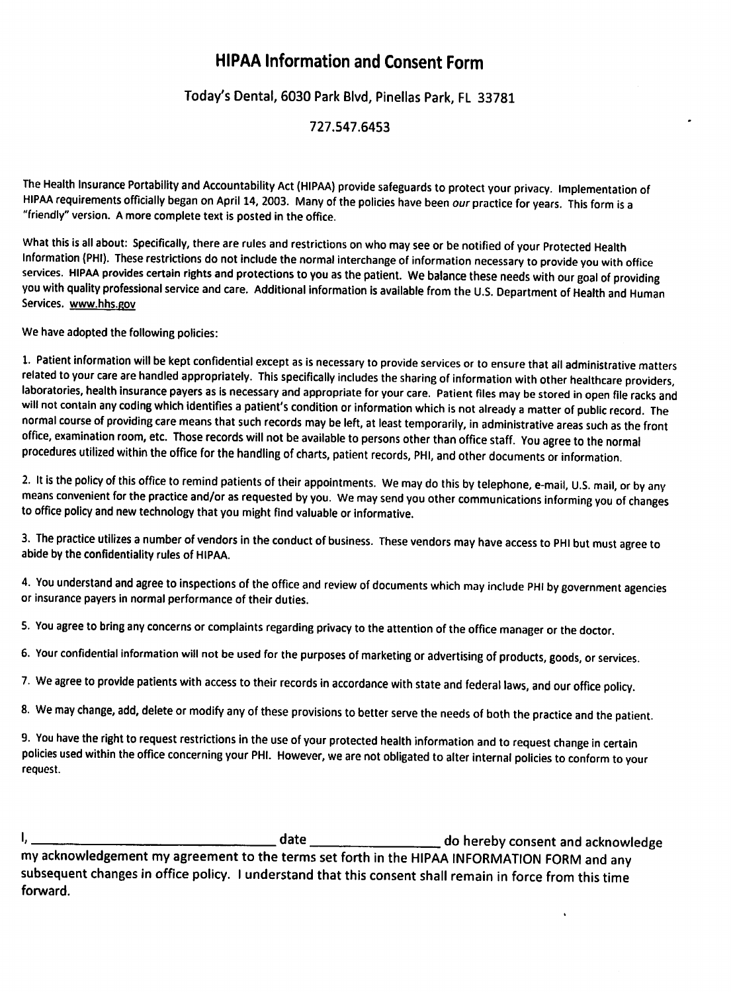#### HIPAA Information and Consent Form

#### Today's Dental, 6030 Park Blvd, Pinedas Park, FL 33781

#### 727.547.6453

The Health Insurance Portability and Accountability Act (HIPAA) provide safeguards to protect your privacy. Implementation of HIPAA requirements officially began on April 14, 2003. Many of the policies have been our practice for years. This form is a "friendly" version. A more complete text is posted in the office.

What this is all about: Specifically, there are rules and restrictions on who may see or be notified of your Protected Health Information (PHI). These restrictions do not include the normal interchange of information necessary to provide you with office services. HIPAA provides certain rights and protections to you as the patient. We balance these needs with our goal of providing you with quality professional service and care. Additional information is available from the U.S. Department of Health and Human Services, www.hhs.eov

We have adopted the following policies:

1. Patient information will be kept confidential except as is necessary to provide services or to ensure that all administrative matters related to your care are handled appropriately. This specifically includes the sharing of information with other healthcare providers, laboratories, health insurance payers as is necessary and appropriate for your care. Patient files may be stored in open file racks and will not contain any coding which identifies a patient's condition or information which is not already a matter of public record. The normal course of providing care means that such records may be left, at least temporarily, in administrative areas such as the front office, examination room, etc. Those records will not be available to persons other than office staff. You agree to the normal procedures utilized within the office for the handling of charts, patient records, PHI, and other documents or information.

2. It is the policy of this office to remind patients of their appointments. We may do this by telephone, e-mail, U.S. mail, or by any means convenient for the practice and/or as requested by you. We may send you other communications informing you of changes to office policy and new technology that you might find valuable or informative.

3. The practice utilizes a number of vendors in the conduct of business. These vendors may have access to PHI but must agree to abide by the confidentiality rules of HIPAA.

4. You understand and agree to inspections of the office and review of documents which may include PHI by government agencies or insurance payers in normal performance of their duties.

5. You agree to bring any concerns or complaints regarding privacy to the attention of the office manager or the doctor.

6. Your confidential information will not be used for the purposes of marketing or advertising of products, goods, or services.

7. We agree to provide patients with access to their records in accordance with state and federal laws, and our office policy.

8. We may change, add, delete or modify any of these provisions to better serve the needs of both the practice and the patient.

9. You have the right to request restrictions in the use of your protected health information and to request change in certain policies used within the office concerning your PHI. However, we are not obligated to alter internal policies to conform to your request.

'» date do hereby consent and acknowledge my acknowledgement my agreement to the terms set forth in the HIPAA INFORMATION FORM and any subsequent changes in office policy. I understand that this consent shall remain in force from this time forward.

 $\ddot{\phantom{a}}$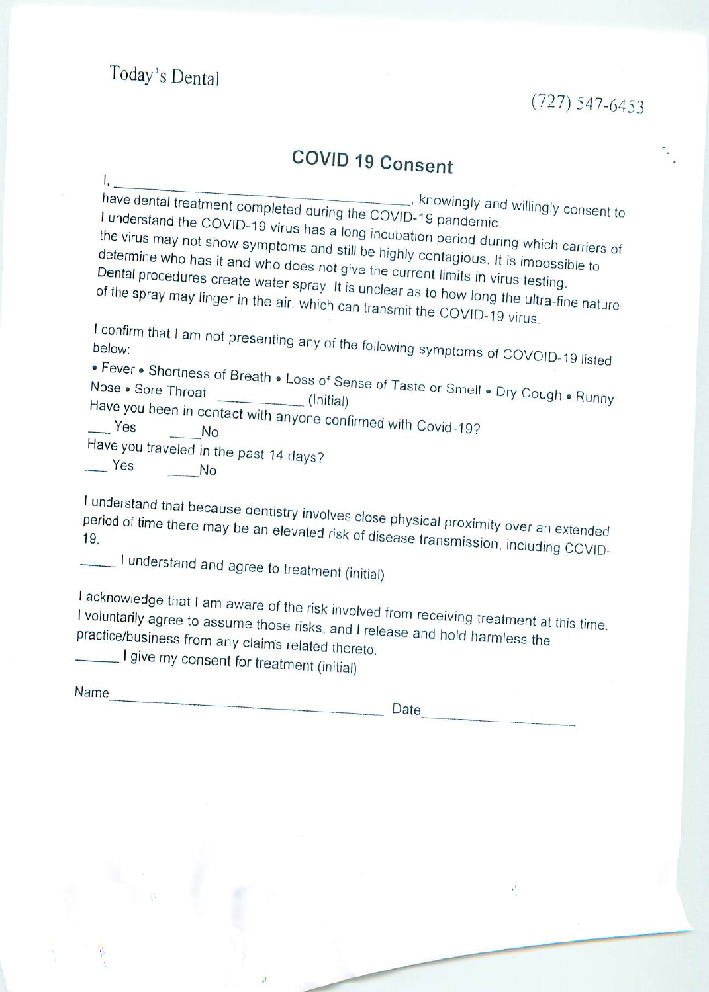$\mathbf{I}_{\mathbf{r}}$ 

## (727) 547-6453

## COVID 19 Consent

\_\_\_, knowingly and willingly consent to have dental treatment understand the COVID Pandemic. the virus may not show symptoms and still be highly contagious. It is impossible to the virus may not show symptom determine who boe it. symptoms and still be highly contagious. It is it which carriers of

determine who has it and who does not give the current limits in virus testing.<br>Dental procedures create water spray. It is unclear as to how long the ultra-fin<br>of the spray may linger in the air, which can transmit the CO  $s$  to bound  $\cdots$ 

may linger in the air,

I confirm that I am not presenting any of the following symptoms of COVOID-19 listed

been in contact . Fever . Shortness of Breath . Loss of Sense of Taste or Smell . Dry Cough . Runny

No

Have you traveled in the past 14 days?  $Yes$  No

I understand that because dentistry involves close physical proximity over an extended<br>period of time there may be an elevated risk of disease transmission period of time there may be an elevated risk of disease transmission, including COVID-<br>19.

**understand and agree to treatment (initial)** 

I acknowledge that I am aware of the risk involved from receiving treatment at this time.<br>I voluntarily agree to assume those risks, and I release and hold harmless the practice/business from any claims related thereto. I voluntarily agree to assume those risks, and I release and hold harmless the

give my consent for treatment (initial)

|  | Name |  |
|--|------|--|
|  |      |  |

Date

 $\frac{1}{2}$